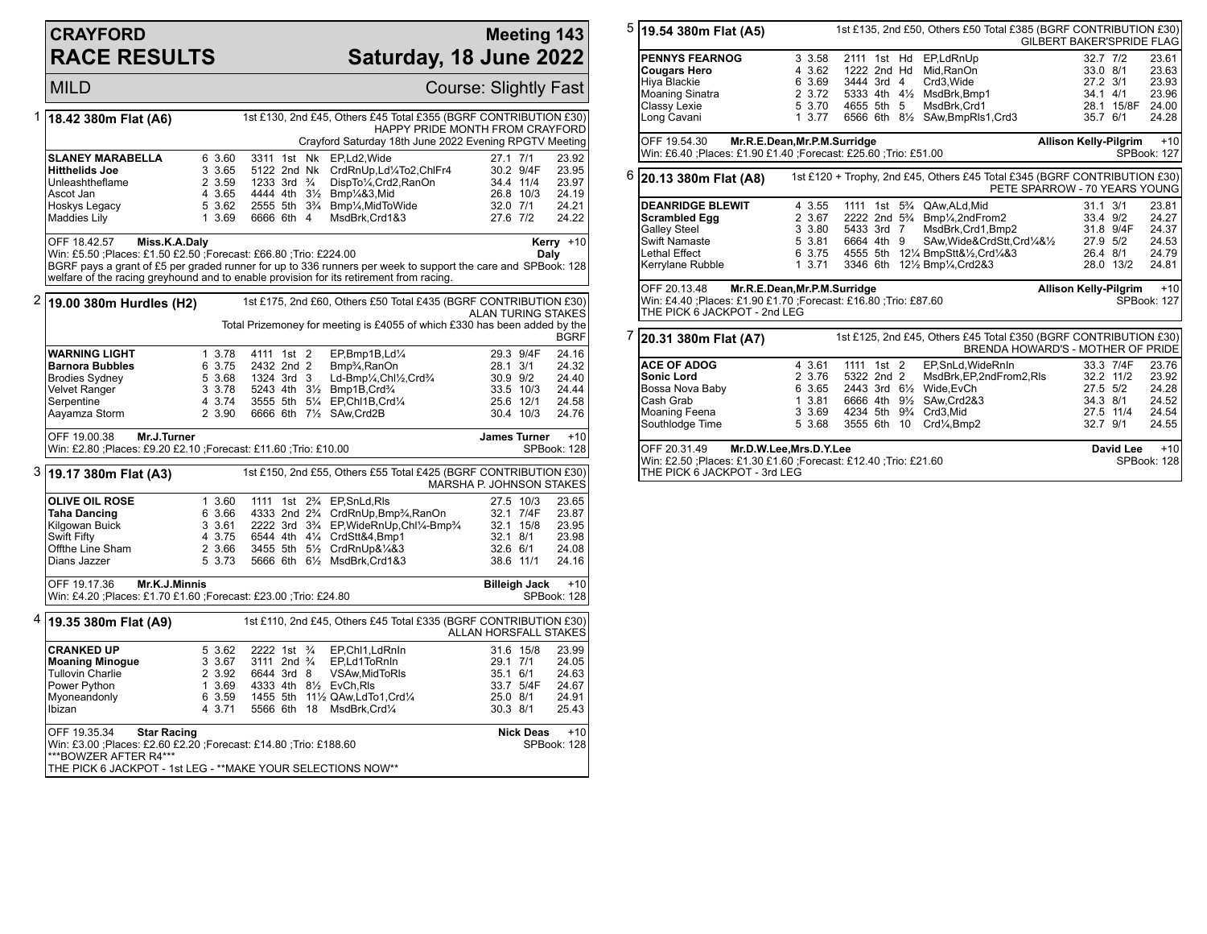## **CRAYFORD RACE RESULTS**

## **Meeting 143 Saturday, 18 June 2022**

|   | <b>MILD</b>                                                                                                                                                                                                                                                                                                                         |                                                          |                                                                                   |  |  |                                                                                                                                                                                                                                                                                                                                                                   | Course: Slightly Fast                        |                                                  |                                                             |
|---|-------------------------------------------------------------------------------------------------------------------------------------------------------------------------------------------------------------------------------------------------------------------------------------------------------------------------------------|----------------------------------------------------------|-----------------------------------------------------------------------------------|--|--|-------------------------------------------------------------------------------------------------------------------------------------------------------------------------------------------------------------------------------------------------------------------------------------------------------------------------------------------------------------------|----------------------------------------------|--------------------------------------------------|-------------------------------------------------------------|
| 1 | 1st £130, 2nd £45, Others £45 Total £355 (BGRF CONTRIBUTION £30)<br>18.42 380m Flat (A6)<br>HAPPY PRIDE MONTH FROM CRAYFORD<br>Crayford Saturday 18th June 2022 Evening RPGTV Meeting                                                                                                                                               |                                                          |                                                                                   |  |  |                                                                                                                                                                                                                                                                                                                                                                   |                                              |                                                  |                                                             |
|   | <b>SLANEY MARABELLA</b><br><b>Hitthelids Joe</b><br>Unleashtheflame<br>Ascot Jan<br>Hoskys Legacy<br>Maddies Lily                                                                                                                                                                                                                   | 6 3.60<br>3 3.65<br>2 3.59<br>4 3.65<br>5 3.62<br>1 3.69 | 3311 1st Nk<br>5122 2nd Nk<br>1233 3rd $\frac{3}{4}$<br>6666 6th 4                |  |  | EP,Ld2, Wide<br>CrdRnUp,Ld1/4To2,ChlFr4<br>DispTo1/4, Crd2, RanOn<br>4444 4th 31/2 Bmp1/4&3, Mid<br>2555 5th 3 <sup>3</sup> / <sub>4</sub> Bmp <sup>1</sup> / <sub>4</sub> , MidToWide<br>MsdBrk, Crd1&3                                                                                                                                                          | 27.1 7/1<br>27.6 7/2                         | 30.2 9/4F<br>34.4 11/4<br>26.8 10/3<br>32.0 7/1  | 23.92<br>23.95<br>23.97<br>24.19<br>24.21<br>24.22          |
|   | OFF 18.42.57<br>Miss.K.A.Daly<br>Kerry $+10$<br>Win: £5.50 ;Places: £1.50 £2.50 ;Forecast: £66.80 ;Trio: £224.00<br>Daly<br>BGRF pays a grant of £5 per graded runner for up to 336 runners per week to support the care and SPBook: 128<br>welfare of the racing greyhound and to enable provision for its retirement from racing. |                                                          |                                                                                   |  |  |                                                                                                                                                                                                                                                                                                                                                                   |                                              |                                                  |                                                             |
|   | $2$ 19.00 380m Hurdles (H2)                                                                                                                                                                                                                                                                                                         |                                                          |                                                                                   |  |  | 1st £175, 2nd £60, Others £50 Total £435 (BGRF CONTRIBUTION £30)<br>Total Prizemoney for meeting is £4055 of which £330 has been added by the                                                                                                                                                                                                                     | <b>ALAN TURING STAKES</b>                    |                                                  | <b>BGRF</b>                                                 |
|   | <b>WARNING LIGHT</b><br><b>Barnora Bubbles</b><br><b>Brodies Sydney</b><br>Velvet Ranger<br>Serpentine<br>Aayamza Storm                                                                                                                                                                                                             | 1 3.78<br>6 3.75<br>5 3.68<br>3 3.78<br>4 3.74<br>2 3.90 | 4111 1st 2<br>2432 2nd 2<br>1324 3rd 3                                            |  |  | EP,Bmp1B,Ld1/4<br>Bmp <sup>3</sup> / <sub>4</sub> , RanOn<br>Ld-Bmp1⁄4,Chl1⁄2,Crd3⁄4<br>5243 4th 31/2 Bmp1B, Crd3/4<br>3555 5th 51/4 EP, Chl1B, Crd1/4<br>6666 6th 71/2 SAw, Crd2B                                                                                                                                                                                | 28.1 3/1<br>30.9 9/2                         | 29.3 9/4F<br>33.5 10/3<br>25.6 12/1<br>30.4 10/3 | 24.16<br>24.32<br>24.40<br>24.44<br>24.58<br>24.76          |
|   |                                                                                                                                                                                                                                                                                                                                     |                                                          |                                                                                   |  |  |                                                                                                                                                                                                                                                                                                                                                                   |                                              |                                                  |                                                             |
|   | OFF 19.00.38<br>Mr.J.Turner<br>Win: £2.80 ; Places: £9.20 £2.10 ; Forecast: £11.60 ; Trio: £10.00                                                                                                                                                                                                                                   |                                                          |                                                                                   |  |  |                                                                                                                                                                                                                                                                                                                                                                   | <b>James Turner</b>                          |                                                  | $+10$<br>SPBook: 128                                        |
|   | 3 19.17 380m Flat (A3)                                                                                                                                                                                                                                                                                                              |                                                          |                                                                                   |  |  | 1st £150, 2nd £55, Others £55 Total £425 (BGRF CONTRIBUTION £30)                                                                                                                                                                                                                                                                                                  | <b>MARSHA P. JOHNSON STAKES</b>              |                                                  |                                                             |
|   | <b>OLIVE OIL ROSE</b><br><b>Taha Dancing</b><br>Kilgowan Buick<br>Swift Fifty<br>Offthe Line Sham<br>Dians Jazzer                                                                                                                                                                                                                   | 1 3.60<br>6 3.66<br>3 3.61<br>4 3.75<br>2 3.66<br>5 3.73 | 1111                                                                              |  |  | 1st 2 <sup>3</sup> / <sub>4</sub> EP, SnLd, RIs<br>4333 2nd 2 <sup>3</sup> / <sub>4</sub> CrdRnUp, Bmp <sup>3</sup> / <sub>4</sub> , RanOn<br>2222 3rd 3 <sup>3</sup> / <sub>4</sub> EP, WideRnUp, Chl <sup>1</sup> / <sub>4</sub> -Bmp <sup>3</sup> / <sub>4</sub><br>6544 4th 41/4 CrdStt&4,Bmp1<br>3455 5th 51/2 CrdRnUp&1/4&3<br>5666 6th 61/2 MsdBrk, Crd1&3 | 32.1 8/1<br>32.6 6/1                         | 27.5 10/3<br>32.1 7/4F<br>32.1 15/8<br>38.6 11/1 | 23.65<br>23.87<br>23.95<br>23.98<br>24.08<br>24.16          |
|   | OFF 19.17.36<br>Mr.K.J.Minnis<br>Win: £4.20 ;Places: £1.70 £1.60 ;Forecast: £23.00 ;Trio: £24.80                                                                                                                                                                                                                                    |                                                          |                                                                                   |  |  |                                                                                                                                                                                                                                                                                                                                                                   |                                              | <b>Billeigh Jack</b>                             | $+10$<br>SPBook: 128                                        |
|   | <sup>4</sup> ∣19.35 380m Flat (A9)                                                                                                                                                                                                                                                                                                  |                                                          |                                                                                   |  |  | 1st £110, 2nd £45, Others £45 Total £335 (BGRF CONTRIBUTION £30)                                                                                                                                                                                                                                                                                                  | ALLAN HORSFALL STAKES                        |                                                  |                                                             |
|   | <b>CRANKED UP</b><br><b>Moaning Minogue</b><br><b>Tullovin Charlie</b><br>Power Python<br>Myoneandonly<br>Ibizan<br>OFF 19.35.34<br><b>Star Racing</b>                                                                                                                                                                              | 5 3.62<br>3 3.67<br>2 3.92<br>1 3.69<br>6 3.59<br>4 3.71 | 2222 1st 3/4<br>3111 2nd <sup>3</sup> / <sub>4</sub><br>6644 3rd 8<br>5566 6th 18 |  |  | EP, Chl1, LdRnIn<br>EP.Ld1ToRnIn<br>VSAw, MidToRIs<br>4333 4th 81/2 EvCh.RIs<br>1455 5th 111/2 QAw, LdTo 1, Crd1/4<br>MsdBrk, Crd1/4                                                                                                                                                                                                                              | 29.1 7/1<br>35.1 6/1<br>25.0 8/1<br>30.3 8/1 | 31.6 15/8<br>33.7 5/4F<br><b>Nick Deas</b>       | 23.99<br>24.05<br>24.63<br>24.67<br>24.91<br>25.43<br>$+10$ |

| $5 $ 19.54 380m Flat (A5)<br>1st £135, 2nd £50, Others £50 Total £385 (BGRF CONTRIBUTION £30)                                                                                      |                                                                                                                                               |  |                                                           |                                                                                                                     |  |  | <b>GILBERT BAKER'SPRIDE FLAG</b>                                                                                                                                                                                                                                      |                                   |                                                                              |                                                    |
|------------------------------------------------------------------------------------------------------------------------------------------------------------------------------------|-----------------------------------------------------------------------------------------------------------------------------------------------|--|-----------------------------------------------------------|---------------------------------------------------------------------------------------------------------------------|--|--|-----------------------------------------------------------------------------------------------------------------------------------------------------------------------------------------------------------------------------------------------------------------------|-----------------------------------|------------------------------------------------------------------------------|----------------------------------------------------|
|                                                                                                                                                                                    | <b>PENNYS FEARNOG</b><br><b>Cougars Hero</b><br>Hiya Blackie<br>Moaning Sinatra<br>Classy Lexie<br>Long Cavani                                |  | 3 3.58<br>4 3.62<br>6 3.69<br>2 3.72<br>5 3.70<br>1, 3.77 | 1222 2nd Hd<br>3444 3rd 4<br>4655 5th 5                                                                             |  |  | 2111 1st Hd EP,LdRnUp<br>Mid.RanOn<br>Crd3.Wide<br>5333 4th 41/2 MsdBrk, Bmp1<br>MsdBrk, Crd1<br>6566 6th 81/2 SAw, BmpRIs1, Crd3                                                                                                                                     |                                   | 32.7 7/2<br>33.0 8/1<br>27.2 3/1<br>34.1 4/1<br>28.1 15/8F 24.00<br>35.7 6/1 | 23.61<br>23.63<br>23.93<br>23.96<br>24.28          |
|                                                                                                                                                                                    | OFF 19.54.30<br>Mr.R.E.Dean, Mr.P.M.Surridge<br>Win: £6.40 : Places: £1.90 £1.40 : Forecast: £25.60 : Trio: £51.00                            |  |                                                           |                                                                                                                     |  |  |                                                                                                                                                                                                                                                                       | <b>Allison Kelly-Pilgrim</b>      |                                                                              | $+10$<br>SPBook: 127                               |
|                                                                                                                                                                                    | $6$ 20.13 380m Flat (A8)                                                                                                                      |  |                                                           |                                                                                                                     |  |  | 1st £120 + Trophy, 2nd £45, Others £45 Total £345 (BGRF CONTRIBUTION £30)                                                                                                                                                                                             | PETE SPARROW - 70 YEARS YOUNG     |                                                                              |                                                    |
|                                                                                                                                                                                    | <b>DEANRIDGE BLEWIT</b><br><b>Scrambled Egg</b><br><b>Galley Steel</b><br>Swift Namaste<br><b>Lethal Effect</b><br>Kerrylane Rubble           |  | 4 3.55<br>2 3.67<br>3 3.80<br>5 3.81<br>6 3.75<br>13.71   | 5433 3rd 7<br>6664 4th 9                                                                                            |  |  | 1111 1st 5 <sup>3</sup> / <sub>4</sub> QAw, ALd, Mid<br>2222 2nd 5 <sup>3</sup> / <sub>4</sub> Bmp <sup>1</sup> / <sub>4</sub> ,2ndFrom2<br>MsdBrk, Crd1, Bmp2<br>SAw, Wide&CrdStt, Crd1/4&1/2<br>4555 5th 121/4 BmpStt&1/2,Crd1/4&3<br>3346 6th 121/2 Bmp1/4, Crd2&3 |                                   | $31.1$ $3/1$<br>33.4 9/2<br>31.8 9/4F<br>27.9 5/2<br>26.4 8/1<br>28.0 13/2   | 23.81<br>24.27<br>24.37<br>24.53<br>24.79<br>24.81 |
| Mr.R.E.Dean, Mr.P.M.Surridge<br><b>Allison Kelly-Pilgrim</b><br>OFF 20.13.48<br>Win: £4.40 ; Places: £1.90 £1.70 ; Forecast: £16.80 ; Trio: £87.60<br>THE PICK 6 JACKPOT - 2nd LEG |                                                                                                                                               |  |                                                           |                                                                                                                     |  |  | $+10$<br>SPBook: 127                                                                                                                                                                                                                                                  |                                   |                                                                              |                                                    |
| 7                                                                                                                                                                                  | 20.31 380m Flat (A7)                                                                                                                          |  |                                                           |                                                                                                                     |  |  | 1st £125, 2nd £45, Others £45 Total £350 (BGRF CONTRIBUTION £30)                                                                                                                                                                                                      | BRENDA HOWARD'S - MOTHER OF PRIDE |                                                                              |                                                    |
|                                                                                                                                                                                    | <b>ACE OF ADOG</b><br><b>Sonic Lord</b><br>Bossa Nova Baby<br>Cash Grab<br>Moaning Feena<br>Southlodge Time                                   |  | 4 3.61<br>2 3.76<br>6 3.65<br>13.81<br>3 3.69<br>5 3.68   | 1111 1st 2<br>5322 2nd 2<br>2443 3rd 61/2<br>6666 4th 91/2<br>4234 5th 9 <sup>3</sup> / <sub>4</sub><br>3555 6th 10 |  |  | EP,SnLd, WideRnIn<br>MsdBrk, EP, 2nd From 2, RIs<br>Wide, EvCh<br>SAw, Crd2&3<br>Crd3,Mid<br>Crd <sup>1</sup> / <sub>4</sub> ,Bmp2                                                                                                                                    |                                   | 33.3 7/4F<br>32.2 11/2<br>27.5 5/2<br>34.3 8/1<br>27.5 11/4<br>32.7 9/1      | 23.76<br>23.92<br>24.28<br>24.52<br>24.54<br>24.55 |
|                                                                                                                                                                                    | OFF 20.31.49<br>Mr.D.W.Lee, Mrs.D.Y.Lee<br>Win: £2.50 ; Places: £1.30 £1.60 ; Forecast: £12.40 ; Trio: £21.60<br>THE PICK 6 JACKPOT - 3rd LEG |  |                                                           |                                                                                                                     |  |  |                                                                                                                                                                                                                                                                       | David Lee                         | $+10$<br>SPBook: 128                                                         |                                                    |